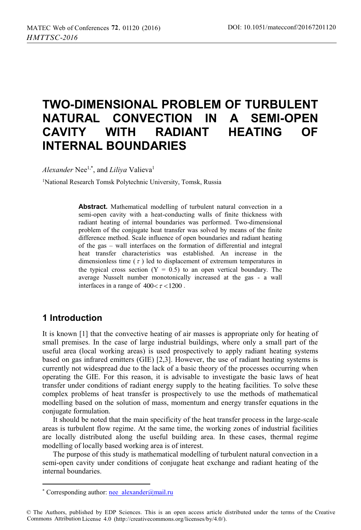# **TWO-DIMENSIONAL PROBLEM OF TURBULENT NATURAL CONVECTION IN A SEMI-OPEN CAVITY WITH RADIANT HEATING OF INTERNAL BOUNDARIES**

*Alexander* Nee1,\*, and *Liliya* Valieva1

1National Research Tomsk Polytechnic University, Tomsk, Russia

**Abstract.** Mathematical modelling of turbulent natural convection in a semi-open cavity with a heat-conducting walls of finite thickness with radiant heating of internal boundaries was performed. Two-dimensional problem of the conjugate heat transfer was solved by means of the finite difference method. Scale influence of open boundaries and radiant heating of the gas – wall interfaces on the formation of differential and integral heat transfer characteristics was established. An increase in the dimensionless time  $(\tau)$  led to displacement of extremum temperatures in the typical cross section  $(Y = 0.5)$  to an open vertical boundary. The average Nusselt number monotonically increased at the gas - a wall interfaces in a range of  $400 < \tau < 1200$ .

## **1 Introduction**

 $\overline{a}$ 

It is known [1] that the convective heating of air masses is appropriate only for heating of small premises. In the case of large industrial buildings, where only a small part of the useful area (local working areas) is used prospectively to apply radiant heating systems based on gas infrared emitters (GIE) [2,3]. However, the use of radiant heating systems is currently not widespread due to the lack of a basic theory of the processes occurring when operating the GIE. For this reason, it is advisable to investigate the basic laws of heat transfer under conditions of radiant energy supply to the heating facilities. To solve these complex problems of heat transfer is prospectively to use the methods of mathematical modelling based on the solution of mass, momentum and energy transfer equations in the conjugate formulation.

It should be noted that the main specificity of the heat transfer process in the large-scale areas is turbulent flow regime. At the same time, the working zones of industrial facilities are locally distributed along the useful building area. In these cases, thermal regime modelling of locally based working area is of interest.

The purpose of this study is mathematical modelling of turbulent natural convection in a semi-open cavity under conditions of conjugate heat exchange and radiant heating of the internal boundaries.

<sup>\*</sup> Corresponding author: nee\_alexander@mail.ru

<sup>©</sup> The Authors, published by EDP Sciences. This is an open access article distributed under the terms of the Creative Commons Attribution License 4.0 (http://creativecommons.org/licenses/by/4.0/).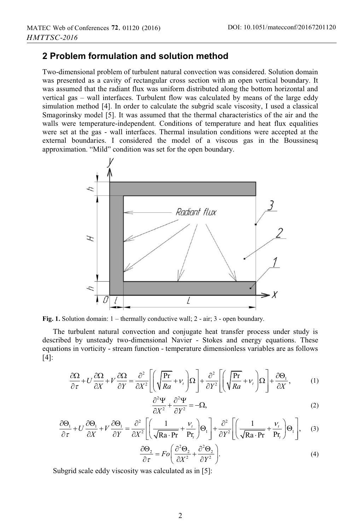## **2 Problem formulation and solution method**

Two-dimensional problem of turbulent natural convection was considered. Solution domain was presented as a cavity of rectangular cross section with an open vertical boundary. It was assumed that the radiant flux was uniform distributed along the bottom horizontal and vertical gas – wall interfaces. Turbulent flow was calculated by means of the large eddy simulation method [4]. In order to calculate the subgrid scale viscosity, I used a classical Smagorinsky model [5]. It was assumed that the thermal characteristics of the air and the walls were temperature-independent. Conditions of temperature and heat flux equalities were set at the gas - wall interfaces. Thermal insulation conditions were accepted at the external boundaries. I considered the model of a viscous gas in the Boussinesq approximation. "Mild" condition was set for the open boundary.



**Fig. 1.** Solution domain: 1 – thermally conductive wall; 2 - air; 3 - open boundary.

The turbulent natural convection and conjugate heat transfer process under study is described by unsteady two-dimensional Navier - Stokes and energy equations. These equations in vorticity - stream function - temperature dimensionless variables are as follows [4]:

$$
\frac{\partial \Omega}{\partial \tau} + U \frac{\partial \Omega}{\partial X} + V \frac{\partial \Omega}{\partial Y} = \frac{\partial^2}{\partial X^2} \left[ \left( \sqrt{\frac{\text{Pr}}{Ra}} + \nu_t \right) \Omega \right] + \frac{\partial^2}{\partial Y^2} \left[ \left( \sqrt{\frac{\text{Pr}}{Ra}} + \nu_t \right) \Omega \right] + \frac{\partial \Theta_1}{\partial X}, \tag{1}
$$

$$
\frac{\partial^2 \Psi}{\partial X^2} + \frac{\partial^2 \Psi}{\partial Y^2} = -\Omega,
$$
\n(2)

$$
\frac{\partial \Theta_{1}}{\partial \tau} + U \frac{\partial \Theta_{1}}{\partial X} + V \frac{\partial \Theta_{1}}{\partial Y} = \frac{\partial^{2}}{\partial X^{2}} \left[ \left( \frac{1}{\sqrt{Ra \cdot Pr}} + \frac{V_{t}}{Pr_{t}} \right) \Theta_{1} \right] + \frac{\partial^{2}}{\partial Y^{2}} \left[ \left( \frac{1}{\sqrt{Ra \cdot Pr}} + \frac{V_{t}}{Pr_{t}} \right) \Theta_{1} \right], \quad (3)
$$

$$
\frac{\partial \Theta_2}{\partial \tau} = Fo \left( \frac{\partial^2 \Theta_2}{\partial X^2} + \frac{\partial^2 \Theta_2}{\partial Y^2} \right).
$$
\n(4)

Subgrid scale eddy viscosity was calculated as in [5]: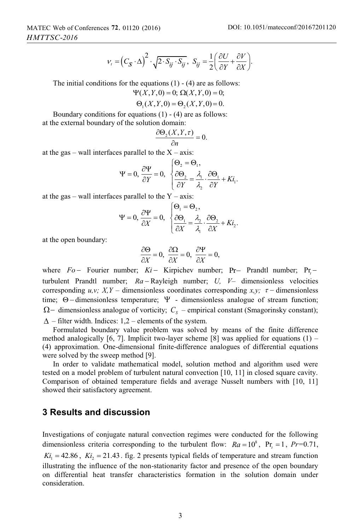$$
v_{i} = (C_{S} \cdot \Delta)^{2} \cdot \sqrt{2 \cdot S_{ij} \cdot S_{ij}}, \ S_{ij} = \frac{1}{2} \left( \frac{\partial U}{\partial Y} + \frac{\partial V}{\partial X} \right).
$$

The initial conditions for the equations  $(1) - (4)$  are as follows:

$$
\Psi(X,Y,0) = 0; \ \Omega(X,Y,0) = 0;
$$

$$
\Theta_1(X, Y, 0) = \Theta_2(X, Y, 0) = 0.
$$

Boundary conditions for equations (1) - (4) are as follows: at the external boundary of the solution domain:

$$
\frac{\partial \Theta_2(X,Y,\tau)}{\partial n} = 0.
$$

at the gas – wall interfaces parallel to the  $X - axis$ :

$$
\Psi = 0, \frac{\partial \Psi}{\partial Y} = 0, \begin{cases} \Theta_2 = \Theta_1, \\ \frac{\partial \Theta_2}{\partial Y} = \frac{\lambda_1}{\lambda_2} \cdot \frac{\partial \Theta_1}{\partial Y} + K i_1. \end{cases}
$$

at the gas – wall interfaces parallel to the  $Y - axis$ :

$$
\Psi = 0, \frac{\partial \Psi}{\partial X} = 0, \begin{cases} \Theta_1 = \Theta_2, \\ \frac{\partial \Theta_1}{\partial X} = \frac{\lambda_2}{\lambda_1} \cdot \frac{\partial \Theta_2}{\partial X} + Ki_2. \end{cases}
$$

at the open boundary:

$$
\frac{\partial \Theta}{\partial X} = 0, \ \frac{\partial \Omega}{\partial X} = 0, \ \frac{\partial \Psi}{\partial X} = 0,
$$

where *Fo* – Fourier number; *Ki* – Kirpichev number; Pr – Prandtl number; Pr – turbulent Prandtl number;  $Ra - Rayleigh$  number;  $U, V-$  dimensionless velocities corresponding  $u, v; X, Y$  – dimensionless coordinates corresponding  $x, y; \tau$  – dimensionless time;  $\Theta$  - dimensionless temperature;  $\Psi$  - dimensionless analogue of stream function;  $\Omega$  – dimensionless analogue of vorticity;  $C_s$  – empirical constant (Smagorinsky constant);  $\Delta$  – filter width. Indices: 1,2 – elements of the system.

Formulated boundary value problem was solved by means of the finite difference method analogically [6, 7]. Implicit two-layer scheme [8] was applied for equations (1) – (4) approximation. One-dimensional finite-difference analogues of differential equations were solved by the sweep method [9].

In order to validate mathematical model, solution method and algorithm used were tested on a model problem of turbulent natural convection [10, 11] in closed square cavity. Comparison of obtained temperature fields and average Nusselt numbers with [10, 11] showed their satisfactory agreement.

#### **3 Results and discussion**

Investigations of conjugate natural convection regimes were conducted for the following dimensionless criteria corresponding to the turbulent flow:  $Ra = 10^8$ ,  $Pr = 1$ ,  $Pr = 0.71$ ,  $Ki_1 = 42.86$ ,  $Ki_2 = 21.43$ . fig. 2 presents typical fields of temperature and stream function illustrating the influence of the non-stationarity factor and presence of the open boundary on differential heat transfer characteristics formation in the solution domain under consideration.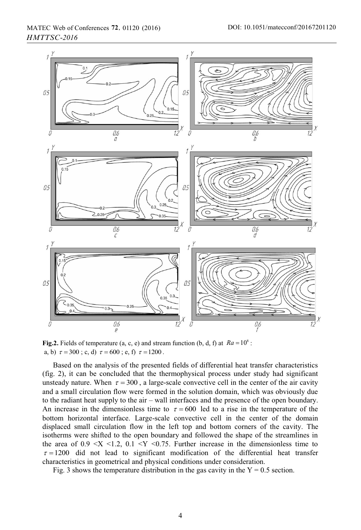

**Fig.2.** Fields of temperature (a, c, e) and stream function (b, d, f) at  $Ra = 10^8$ : a, b)  $\tau = 300$ ; c, d)  $\tau = 600$ ; e, f)  $\tau = 1200$ .

Based on the analysis of the presented fields of differential heat transfer characteristics (fig. 2), it can be concluded that the thermophysical process under study had significant unsteady nature. When  $\tau = 300$ , a large-scale convective cell in the center of the air cavity and a small circulation flow were formed in the solution domain, which was obviously due to the radiant heat supply to the air – wall interfaces and the presence of the open boundary. An increase in the dimensionless time to  $\tau = 600$  led to a rise in the temperature of the bottom horizontal interface. Large-scale convective cell in the center of the domain displaced small circulation flow in the left top and bottom corners of the cavity. The isotherms were shifted to the open boundary and followed the shape of the streamlines in the area of  $0.9 \le X \le 1.2$ ,  $0.1 \le Y \le 0.75$ . Further increase in the dimensionless time to  $\tau = 1200$  did not lead to significant modification of the differential heat transfer characteristics in geometrical and physical conditions under consideration.

Fig. 3 shows the temperature distribution in the gas cavity in the  $Y = 0.5$  section.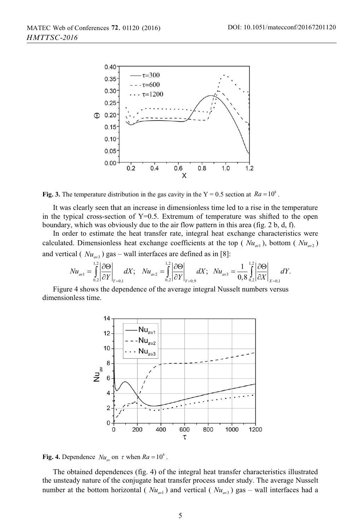

Fig. 3. The temperature distribution in the gas cavity in the  $Y = 0.5$  section at  $Ra = 10^8$ .

It was clearly seen that an increase in dimensionless time led to a rise in the temperature in the typical cross-section of  $Y=0.5$ . Extremum of temperature was shifted to the open boundary, which was obviously due to the air flow pattern in this area (fig. 2 b, d, f).

In order to estimate the heat transfer rate, integral heat exchange characteristics were calculated. Dimensionless heat exchange coefficients at the top ( $Nu_{av1}$ ), bottom ( $Nu_{av2}$ ) and vertical ( $Nu_{av3}$ ) gas – wall interfaces are defined as in [8]:

$$
Nu_{\text{av1}} = \int_{0.2}^{1.2} \left| \frac{\partial \Theta}{\partial Y} \right|_{Y=0,1} dX; \quad Nu_{\text{av2}} = \int_{0.2}^{1.2} \left| \frac{\partial \Theta}{\partial Y} \right|_{Y=0,9} dX; \quad Nu_{\text{av3}} = \frac{1}{0.8} \int_{0.2}^{1.2} \left| \frac{\partial \Theta}{\partial X} \right|_{X=0,1} dY.
$$

Figure 4 shows the dependence of the average integral Nusselt numbers versus dimensionless time.



**Fig. 4.** Dependence  $Nu_{av}$  on  $\tau$  when  $Ra = 10^8$ .

The obtained dependences (fig. 4) of the integral heat transfer characteristics illustrated the unsteady nature of the conjugate heat transfer process under study. The average Nusselt number at the bottom horizontal ( $Nu_{av1}$ ) and vertical ( $Nu_{av3}$ ) gas – wall interfaces had a